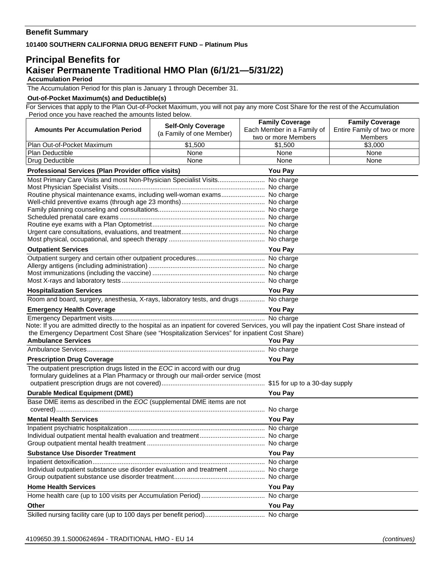## **Benefit Summary**

**101400 SOUTHERN CALIFORNIA DRUG BENEFIT FUND – Platinum Plus** 

## **Principal Benefits for Kaiser Permanente Traditional HMO Plan (6/1/21—5/31/22) Accumulation Period**

The Accumulation Period for this plan is January 1 through December 31.

## **Out-of-Pocket Maximum(s) and Deductible(s)**

For Services that apply to the Plan Out-of-Pocket Maximum, you will not pay any more Cost Share for the rest of the Accumulation Period once you have reached the amounts listed below.

|                                                                                                                                                                                                                                            | <b>Self-Only Coverage</b> | <b>Family Coverage</b>     | <b>Family Coverage</b>       |  |
|--------------------------------------------------------------------------------------------------------------------------------------------------------------------------------------------------------------------------------------------|---------------------------|----------------------------|------------------------------|--|
| <b>Amounts Per Accumulation Period</b>                                                                                                                                                                                                     | (a Family of one Member)  | Each Member in a Family of | Entire Family of two or more |  |
|                                                                                                                                                                                                                                            |                           | two or more Members        | <b>Members</b><br>\$3.000    |  |
| Plan Out-of-Pocket Maximum<br>Plan Deductible                                                                                                                                                                                              | \$1,500<br>None           | \$1,500<br>None            | None                         |  |
| Drug Deductible                                                                                                                                                                                                                            | None                      | None                       | None                         |  |
|                                                                                                                                                                                                                                            |                           |                            |                              |  |
| Professional Services (Plan Provider office visits)<br>You Pay                                                                                                                                                                             |                           |                            |                              |  |
| Most Primary Care Visits and most Non-Physician Specialist Visits No charge                                                                                                                                                                |                           |                            |                              |  |
| Routine physical maintenance exams, including well-woman exams No charge                                                                                                                                                                   |                           |                            |                              |  |
|                                                                                                                                                                                                                                            |                           |                            |                              |  |
|                                                                                                                                                                                                                                            |                           |                            |                              |  |
|                                                                                                                                                                                                                                            |                           |                            |                              |  |
|                                                                                                                                                                                                                                            |                           |                            |                              |  |
|                                                                                                                                                                                                                                            |                           |                            |                              |  |
|                                                                                                                                                                                                                                            |                           |                            |                              |  |
| <b>Outpatient Services</b>                                                                                                                                                                                                                 |                           | You Pay                    |                              |  |
|                                                                                                                                                                                                                                            |                           |                            |                              |  |
|                                                                                                                                                                                                                                            |                           |                            |                              |  |
|                                                                                                                                                                                                                                            |                           |                            |                              |  |
|                                                                                                                                                                                                                                            |                           |                            |                              |  |
| <b>Hospitalization Services</b>                                                                                                                                                                                                            |                           | <b>You Pay</b>             |                              |  |
| Room and board, surgery, anesthesia, X-rays, laboratory tests, and drugs No charge                                                                                                                                                         |                           |                            |                              |  |
| <b>Emergency Health Coverage</b>                                                                                                                                                                                                           | You Pay                   |                            |                              |  |
|                                                                                                                                                                                                                                            |                           |                            |                              |  |
| Note: If you are admitted directly to the hospital as an inpatient for covered Services, you will pay the inpatient Cost Share instead of<br>the Emergency Department Cost Share (see "Hospitalization Services" for inpatient Cost Share) |                           |                            |                              |  |
| <b>Ambulance Services</b>                                                                                                                                                                                                                  | <b>You Pay</b>            |                            |                              |  |
|                                                                                                                                                                                                                                            |                           |                            |                              |  |
| <b>Prescription Drug Coverage</b>                                                                                                                                                                                                          | <b>You Pay</b>            |                            |                              |  |
| The outpatient prescription drugs listed in the EOC in accord with our drug                                                                                                                                                                |                           |                            |                              |  |
| formulary guidelines at a Plan Pharmacy or through our mail-order service (most                                                                                                                                                            |                           |                            |                              |  |
|                                                                                                                                                                                                                                            |                           |                            |                              |  |
| <b>Durable Medical Equipment (DME)</b>                                                                                                                                                                                                     | You Pay                   |                            |                              |  |
| Base DME items as described in the EOC (supplemental DME items are not                                                                                                                                                                     |                           |                            |                              |  |
|                                                                                                                                                                                                                                            |                           |                            |                              |  |
| <b>Mental Health Services</b>                                                                                                                                                                                                              |                           | <b>You Pay</b>             |                              |  |
|                                                                                                                                                                                                                                            |                           |                            |                              |  |
|                                                                                                                                                                                                                                            |                           |                            |                              |  |
|                                                                                                                                                                                                                                            |                           |                            |                              |  |
| <b>Substance Use Disorder Treatment</b>                                                                                                                                                                                                    |                           | <b>You Pay</b>             |                              |  |
|                                                                                                                                                                                                                                            |                           |                            |                              |  |
| Individual outpatient substance use disorder evaluation and treatment  No charge                                                                                                                                                           |                           |                            |                              |  |
|                                                                                                                                                                                                                                            |                           |                            |                              |  |
| <b>Home Health Services</b>                                                                                                                                                                                                                |                           | You Pay                    |                              |  |
|                                                                                                                                                                                                                                            |                           |                            |                              |  |
| Other                                                                                                                                                                                                                                      |                           | <b>You Pay</b>             |                              |  |
| Skilled nursing facility care (up to 100 days per benefit period) No charge                                                                                                                                                                |                           |                            |                              |  |